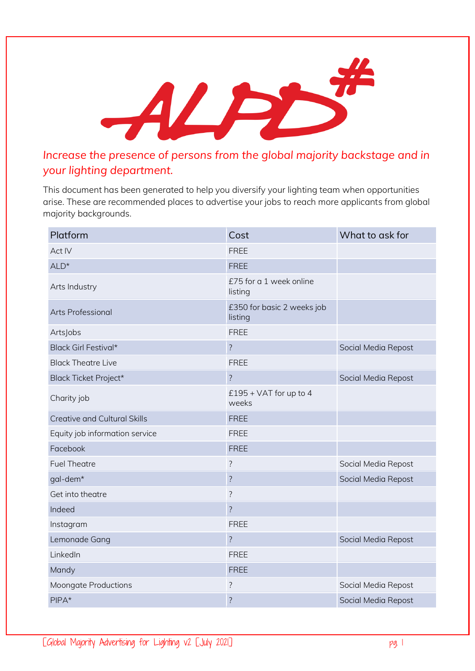## ALPE

## *Increase the presence of persons from the global majority backstage and in your lighting department.*

This document has been generated to help you diversify your lighting team when opportunities arise. These are recommended places to advertise your jobs to reach more applicants from global majority backgrounds.

| Platform                            | Cost                                  | What to ask for     |
|-------------------------------------|---------------------------------------|---------------------|
| Act IV                              | <b>FREE</b>                           |                     |
| $ALD*$                              | <b>FREE</b>                           |                     |
| Arts Industry                       | £75 for a 1 week online<br>listing    |                     |
| Arts Professional                   | £350 for basic 2 weeks job<br>listing |                     |
| ArtsJobs                            | <b>FREE</b>                           |                     |
| Black Girl Festival*                | $\overline{\cdot}$                    | Social Media Repost |
| <b>Black Theatre Live</b>           | <b>FREE</b>                           |                     |
| Black Ticket Project*               | $\overline{\cdot}$                    | Social Media Repost |
| Charity job                         | £195 + $VAT$ for up to 4<br>weeks     |                     |
| <b>Creative and Cultural Skills</b> | <b>FREE</b>                           |                     |
| Equity job information service      | <b>FREE</b>                           |                     |
| Facebook                            | <b>FREE</b>                           |                     |
| <b>Fuel Theatre</b>                 | $\overline{\cdot}$                    | Social Media Repost |
| gal-dem*                            | $\overline{\cdot}$                    | Social Media Repost |
| Get into theatre                    | $\overline{\cdot}$                    |                     |
| Indeed                              | $\overline{\cdot}$                    |                     |
| Instagram                           | <b>FREE</b>                           |                     |
| Lemonade Gang                       | $\overline{\cdot}$                    | Social Media Repost |
| LinkedIn                            | <b>FREE</b>                           |                     |
| Mandy                               | <b>FREE</b>                           |                     |
| Moongate Productions                | $\overline{\cdot}$                    | Social Media Repost |
| PIPA*                               | $\overline{\cdot}$                    | Social Media Repost |